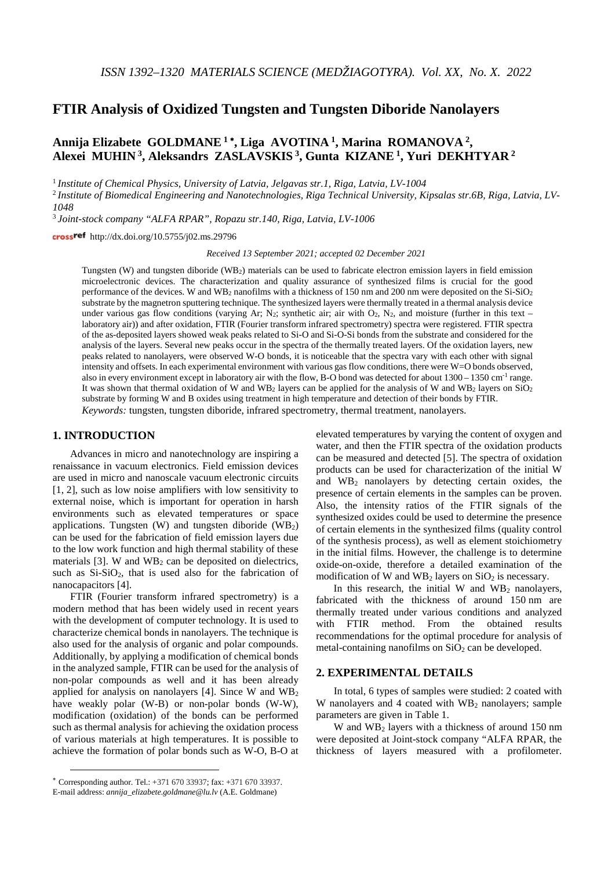# **FTIR Analysis of Oxidized Tungsten and Tungsten Diboride Nanolayers**

# **Annija Elizabete GOLDMANE <sup>1</sup>** <sup>∗</sup>**, Liga AVOTINA 1, Marina ROMANOVA 2, Alexei MUHIN 3, Aleksandrs ZASLAVSKIS 3, Gunta KIZANE 1, Yuri DEKHTYAR <sup>2</sup>**

<sup>1</sup> *Institute of Chemical Physics, University of Latvia, Jelgavas str.1, Riga, Latvia, LV-1004*

<sup>2</sup> *Institute of Biomedical Engineering and Nanotechnologies, Riga Technical University, Kipsalas str.6B, Riga, Latvia, LV-1048*

<sup>3</sup> *Joint-stock company "ALFA RPAR", Ropazu str.140, Riga, Latvia, LV-1006*

http://dx.doi.org/10.5755/j02.ms.29796

*Received 13 September 2021; accepted 02 December 2021*

Tungsten (W) and tungsten diboride (WB2) materials can be used to fabricate electron emission layers in field emission microelectronic devices. The characterization and quality assurance of synthesized films is crucial for the good performance of the devices. W and WB2 nanofilms with a thickness of 150 nm and 200 nm were deposited on the Si-SiO2 substrate by the magnetron sputtering technique. The synthesized layers were thermally treated in a thermal analysis device under various gas flow conditions (varying Ar; N<sub>2</sub>; synthetic air; air with  $O_2$ , N<sub>2</sub>, and moisture (further in this text – laboratory air)) and after oxidation, FTIR (Fourier transform infrared spectrometry) spectra were registered. FTIR spectra of the as-deposited layers showed weak peaks related to Si-O and Si-O-Si bonds from the substrate and considered for the analysis of the layers. Several new peaks occur in the spectra of the thermally treated layers. Of the oxidation layers, new peaks related to nanolayers, were observed W-O bonds, it is noticeable that the spectra vary with each other with signal intensity and offsets. In each experimental environment with various gas flow conditions, there were W=O bonds observed, also in every environment except in laboratory air with the flow, B-O bond was detected for about  $1300 - 1350$  cm<sup>-1</sup> range. It was shown that thermal oxidation of W and WB<sub>2</sub> layers can be applied for the analysis of W and WB<sub>2</sub> layers on  $SiO<sub>2</sub>$ substrate by forming W and B oxides using treatment in high temperature and detection of their bonds by FTIR. *Keywords:* tungsten, tungsten diboride, infrared spectrometry, thermal treatment, nanolayers.

### **1. INTRODUCTION**[∗](#page-0-0)

 $\overline{a}$ 

Advances in micro and nanotechnology are inspiring a renaissance in vacuum electronics. Field emission devices are used in micro and nanoscale vacuum electronic circuits [1, 2], such as low noise amplifiers with low sensitivity to external noise, which is important for operation in harsh environments such as elevated temperatures or space applications. Tungsten (W) and tungsten diboride  $(WB<sub>2</sub>)$ can be used for the fabrication of field emission layers due to the low work function and high thermal stability of these materials [3]. W and  $WB<sub>2</sub>$  can be deposited on dielectrics, such as  $Si-SiO<sub>2</sub>$ , that is used also for the fabrication of nanocapacitors [4].

FTIR (Fourier transform infrared spectrometry) is a modern method that has been widely used in recent years with the development of computer technology. It is used to characterize chemical bonds in nanolayers. The technique is also used for the analysis of organic and polar compounds. Additionally, by applying a modification of chemical bonds in the analyzed sample, FTIR can be used for the analysis of non-polar compounds as well and it has been already applied for analysis on nanolayers [4]. Since W and WB2 have weakly polar (W-B) or non-polar bonds (W-W), modification (oxidation) of the bonds can be performed such as thermal analysis for achieving the oxidation process of various materials at high temperatures. It is possible to achieve the formation of polar bonds such as W-O, B-O at elevated temperatures by varying the content of oxygen and water, and then the FTIR spectra of the oxidation products can be measured and detected [5]. The spectra of oxidation products can be used for characterization of the initial W and  $WB<sub>2</sub>$  nanolayers by detecting certain oxides, the presence of certain elements in the samples can be proven. Also, the intensity ratios of the FTIR signals of the synthesized oxides could be used to determine the presence of certain elements in the synthesized films (quality control of the synthesis process), as well as element stoichiometry in the initial films. However, the challenge is to determine oxide-on-oxide, therefore a detailed examination of the modification of W and  $WB_2$  layers on  $SiO_2$  is necessary.

In this research, the initial W and  $WB<sub>2</sub>$  nanolayers, fabricated with the thickness of around 150 nm are thermally treated under various conditions and analyzed with FTIR method. From the obtained results recommendations for the optimal procedure for analysis of metal-containing nanofilms on  $SiO<sub>2</sub>$  can be developed.

#### **2. EXPERIMENTAL DETAILS**

In total, 6 types of samples were studied: 2 coated with W nanolayers and 4 coated with  $WB<sub>2</sub>$  nanolayers; sample parameters are given in Table 1.

W and WB2 layers with a thickness of around 150 nm were deposited at Joint-stock company "ALFA RPAR, the thickness of layers measured with a profilometer.

<span id="page-0-0"></span><sup>∗</sup> Corresponding author. Tel.: +371 670 33937; fax: +371 670 33937. E-mail address: *annija\_elizabete.goldmane@lu.lv* (A.E. Goldmane)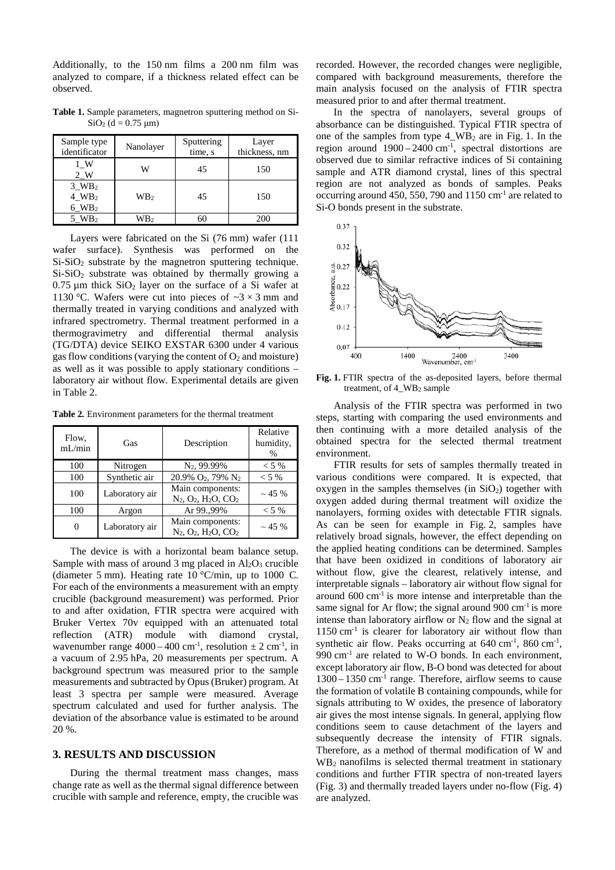Additionally, to the 150 nm films a 200 nm film was analyzed to compare, if a thickness related effect can be observed.

**Table 1.** Sample parameters, magnetron sputtering method on Si- $SiO<sub>2</sub>$  (d = 0.75 µm)

| Sample type<br>identificator                           | Nanolayer       | Sputtering<br>time, s | Layer<br>thickness, nm |
|--------------------------------------------------------|-----------------|-----------------------|------------------------|
| 1 W<br>2 W                                             | W               | 45                    | 150                    |
| $3_WB_2$<br>$4$ WB <sub>2</sub><br>$6$ WB <sub>2</sub> | WB <sub>2</sub> | 45                    | 150                    |
| $5$ WB <sub>2</sub>                                    | WB <sub>2</sub> |                       | 200                    |

Layers were fabricated on the Si (76 mm) wafer (111 wafer surface). Synthesis was performed on the Si-SiO<sub>2</sub> substrate by the magnetron sputtering technique. Si-SiO<sub>2</sub> substrate was obtained by thermally growing a  $0.75 \mu m$  thick  $SiO<sub>2</sub>$  layer on the surface of a Si wafer at 1130 °C. Wafers were cut into pieces of  $\sim$ 3  $\times$ 3 mm and thermally treated in varying conditions and analyzed with infrared spectrometry. Thermal treatment performed in a thermogravimetry and differential thermal analysis (TG/DTA) device SEIKO EXSTAR 6300 under 4 various gas flow conditions (varying the content of  $O_2$  and moisture) as well as it was possible to apply stationary conditions – laboratory air without flow. Experimental details are given in Table 2.

**Table 2***.* Environment parameters for the thermal treatment

| Flow,<br>mL/min | Gas            | Description                                                                             | Relative<br>humidity,<br>$\frac{0}{0}$ |
|-----------------|----------------|-----------------------------------------------------------------------------------------|----------------------------------------|
| 100             | Nitrogen       | N <sub>2</sub> , 99.99%                                                                 | $< 5\%$                                |
| 100             | Synthetic air  | 20.9% O <sub>2</sub> , 79% N <sub>2</sub>                                               | $< 5\%$                                |
| 100             | Laboratory air | Main components:<br>N <sub>2</sub> , O <sub>2</sub> , H <sub>2</sub> O, CO <sub>2</sub> | $\sim$ 45 %                            |
| 100             | Argon          | Ar 99.,99%                                                                              | $< 5\%$                                |
|                 | Laboratory air | Main components:<br>N <sub>2</sub> , O <sub>2</sub> , H <sub>2</sub> O, CO <sub>2</sub> | $\sim$ 45 %                            |

The device is with a horizontal beam balance setup. Sample with mass of around 3 mg placed in  $Al_2O_3$  crucible (diameter 5 mm). Heating rate 10 °C/min, up to 1000 C. For each of the environments a measurement with an empty crucible (background measurement) was performed. Prior to and after oxidation, FTIR spectra were acquired with Bruker Vertex 70v equipped with an attenuated total reflection (ATR) module with diamond crystal, wavenumber range  $4000 - 400$  cm<sup>-1</sup>, resolution  $\pm 2$  cm<sup>-1</sup>, in a vacuum of 2.95 hPa, 20 measurements per spectrum. A background spectrum was measured prior to the sample measurements and subtracted by Opus (Bruker) program. At least 3 spectra per sample were measured. Average spectrum calculated and used for further analysis. The deviation of the absorbance value is estimated to be around 20 %.

### **3. RESULTS AND DISCUSSION**

During the thermal treatment mass changes, mass change rate as well as the thermal signal difference between crucible with sample and reference, empty, the crucible was recorded. However, the recorded changes were negligible, compared with background measurements, therefore the main analysis focused on the analysis of FTIR spectra measured prior to and after thermal treatment.

In the spectra of nanolayers, several groups of absorbance can be distinguished. Typical FTIR spectra of one of the samples from type 4  $WB<sub>2</sub>$  are in Fig. 1. In the region around  $1900 - 2400$  cm<sup>-1</sup>, spectral distortions are observed due to similar refractive indices of Si containing sample and ATR diamond crystal, lines of this spectral region are not analyzed as bonds of samples. Peaks occurring around 450, 550, 790 and  $1150 \text{ cm}^{-1}$  are related to Si-O bonds present in the substrate.



**Fig. 1.** FTIR spectra of the as-deposited layers, before thermal treatment, of 4\_WB2 sample

Analysis of the FTIR spectra was performed in two steps, starting with comparing the used environments and then continuing with a more detailed analysis of the obtained spectra for the selected thermal treatment environment.

FTIR results for sets of samples thermally treated in various conditions were compared. It is expected, that oxygen in the samples themselves (in  $SiO<sub>2</sub>$ ) together with oxygen added during thermal treatment will oxidize the nanolayers, forming oxides with detectable FTIR signals. As can be seen for example in Fig. 2, samples have relatively broad signals, however, the effect depending on the applied heating conditions can be determined. Samples that have been oxidized in conditions of laboratory air without flow, give the clearest, relatively intense, and interpretable signals – laboratory air without flow signal for around  $600 \text{ cm}^{-1}$  is more intense and interpretable than the same signal for Ar flow; the signal around  $900 \text{ cm}^{-1}$  is more intense than laboratory airflow or  $N_2$  flow and the signal at  $1150 \text{ cm}^{-1}$  is clearer for laboratory air without flow than synthetic air flow. Peaks occurring at  $640 \text{ cm}^{-1}$ ,  $860 \text{ cm}^{-1}$ ,  $990 \text{ cm}^{-1}$  are related to W-O bonds. In each environment, except laboratory air flow, B-O bond was detected for about 1300 – 1350 cm-1 range. Therefore, airflow seems to cause the formation of volatile B containing compounds, while for signals attributing to W oxides, the presence of laboratory air gives the most intense signals. In general, applying flow conditions seem to cause detachment of the layers and subsequently decrease the intensity of FTIR signals. Therefore, as a method of thermal modification of W and WB2 nanofilms is selected thermal treatment in stationary conditions and further FTIR spectra of non-treated layers (Fig. 3) and thermally treaded layers under no-flow (Fig. 4) are analyzed.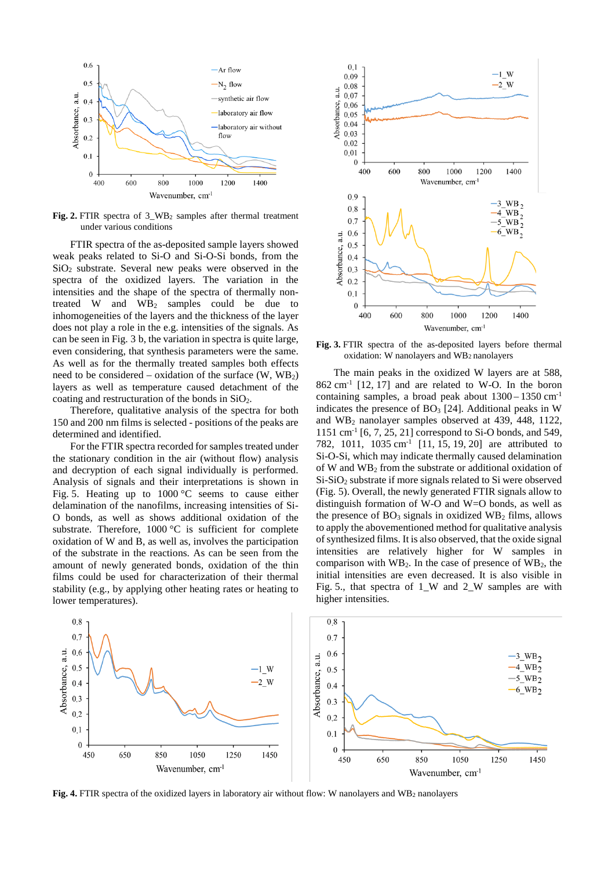

**Fig. 2.** FTIR spectra of 3\_WB2 samples after thermal treatment under various conditions

FTIR spectra of the as-deposited sample layers showed weak peaks related to Si-O and Si-O-Si bonds, from the SiO2 substrate. Several new peaks were observed in the spectra of the oxidized layers. The variation in the intensities and the shape of the spectra of thermally nontreated W and  $WB<sub>2</sub>$  samples could be due to inhomogeneities of the layers and the thickness of the layer does not play a role in the e.g. intensities of the signals. As can be seen in Fig. 3 b, the variation in spectra is quite large, even considering, that synthesis parameters were the same. As well as for the thermally treated samples both effects need to be considered – oxidation of the surface  $(W, WB<sub>2</sub>)$ layers as well as temperature caused detachment of the coating and restructuration of the bonds in SiO2.

Therefore, qualitative analysis of the spectra for both 150 and 200 nm films is selected - positions of the peaks are determined and identified.

For the FTIR spectra recorded for samples treated under the stationary condition in the air (without flow) analysis and decryption of each signal individually is performed. Analysis of signals and their interpretations is shown in Fig. 5. Heating up to  $1000 \degree C$  seems to cause either delamination of the nanofilms, increasing intensities of Si-O bonds, as well as shows additional oxidation of the substrate. Therefore, 1000 °C is sufficient for complete oxidation of W and B, as well as, involves the participation of the substrate in the reactions. As can be seen from the amount of newly generated bonds, oxidation of the thin films could be used for characterization of their thermal stability (e.g., by applying other heating rates or heating to lower temperatures).



**Fig. 3.** FTIR spectra of the as-deposited layers before thermal oxidation: W nanolayers and WB2 nanolayers

The main peaks in the oxidized W layers are at 588,  $862 \text{ cm}^{-1}$  [12, 17] and are related to W-O. In the boron containing samples, a broad peak about  $1300 - 1350$  cm<sup>-1</sup> indicates the presence of  $BO<sub>3</sub>$  [24]. Additional peaks in W and WB2 nanolayer samples observed at 439, 448, 1122, 1151 cm-1 [6, 7, 25, 21] correspond to Si-O bonds, and 549, 782, 1011, 1035 cm<sup>-1</sup> [11, 15, 19, 20] are attributed to Si-O-Si, which may indicate thermally caused delamination of W and WB2 from the substrate or additional oxidation of Si-SiO2 substrate if more signals related to Si were observed (Fig. 5). Overall, the newly generated FTIR signals allow to distinguish formation of W-O and W=O bonds, as well as the presence of  $BO<sub>3</sub>$  signals in oxidized  $WB<sub>2</sub>$  films, allows to apply the abovementioned method for qualitative analysis of synthesized films. It is also observed, that the oxide signal intensities are relatively higher for W samples in comparison with  $WB<sub>2</sub>$ . In the case of presence of  $WB<sub>2</sub>$ , the initial intensities are even decreased. It is also visible in Fig. 5., that spectra of 1\_W and 2\_W samples are with higher intensities.



**Fig. 4.** FTIR spectra of the oxidized layers in laboratory air without flow: W nanolayers and WB<sub>2</sub> nanolayers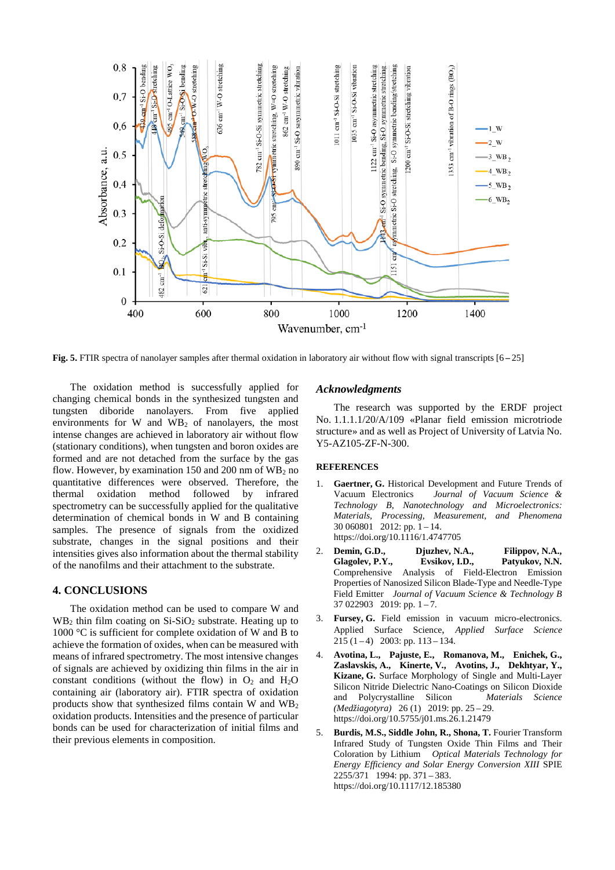

**Fig. 5.** FTIR spectra of nanolayer samples after thermal oxidation in laboratory air without flow with signal transcripts [6 **–** 25]

The oxidation method is successfully applied for changing chemical bonds in the synthesized tungsten and tungsten diboride nanolayers. From five applied environments for W and  $\angle WB_2$  of nanolayers, the most intense changes are achieved in laboratory air without flow (stationary conditions), when tungsten and boron oxides are formed and are not detached from the surface by the gas flow. However, by examination 150 and 200 nm of  $WB<sub>2</sub>$  no quantitative differences were observed. Therefore, the thermal oxidation method followed by infrared spectrometry can be successfully applied for the qualitative determination of chemical bonds in W and B containing samples. The presence of signals from the oxidized substrate, changes in the signal positions and their intensities gives also information about the thermal stability of the nanofilms and their attachment to the substrate.

#### **4. CONCLUSIONS**

The oxidation method can be used to compare W and  $WB<sub>2</sub>$  thin film coating on Si-SiO<sub>2</sub> substrate. Heating up to 1000 °C is sufficient for complete oxidation of W and B to achieve the formation of oxides, when can be measured with means of infrared spectrometry. The most intensive changes of signals are achieved by oxidizing thin films in the air in constant conditions (without the flow) in  $O_2$  and  $H_2O$ containing air (laboratory air). FTIR spectra of oxidation products show that synthesized films contain W and WB2 oxidation products. Intensities and the presence of particular bonds can be used for characterization of initial films and their previous elements in composition.

### *Acknowledgments*

The research was supported by the ERDF project No. 1.1.1.1/20/A/109 «Planar field emission microtriode structure» and as well as Project of University of Latvia No. Y5-AZ105-ZF-N-300.

#### **REFERENCES**

- 1. **Gaertner, G.** Historical Development and Future Trends of Vacuum Electronics *Journal of Vacuum Science & Technology B, Nanotechnology and Microelectronics: Materials, Processing, Measurement, and Phenomena*   $30\,060801$  2012: pp. 1 – 14. https://doi.org/10.1116/1.4747705
- 2. **Demin, G.D., Djuzhev, N.A., Filippov, N.A., Glagolev, P.Y., Evsikov, I.D., Patyukov, N.N.** Comprehensive Analysis of Field-Electron Emission Properties of Nanosized Silicon Blade-Type and Needle-Type Field Emitter *Journal of Vacuum Science & Technology B* 37 022903 2019: pp.  $1 - 7$ .
- 3. **Fursey, G.** Field emission in vacuum micro-electronics. Applied Surface Science, *Applied Surface Science*   $215(1 - 4)$  2003: pp. 113 – 134.
- 4. **Avotina, L., Pajuste, E., Romanova, M., Enichek, G., Zaslavskis, A., Kinerte, V., Avotins, J., Dekhtyar, Y., Kizane, G.** Surface Morphology of Single and Multi-Layer Silicon Nitride Dielectric Nano-Coatings on Silicon Dioxide and Polycrystalline Silicon *Materials Science (Medžiagotyra)* 26 (1) 2019: pp. 25 – 29. https://doi.org/10.5755/j01.ms.26.1.21479
- 5. **Burdis, M.S., Siddle John, R., Shona, T.** Fourier Transform Infrared Study of Tungsten Oxide Thin Films and Their Coloration by Lithium *[Optical Materials Technology for](https://www.spiedigitallibrary.org/conference-proceedings-of-spie/2255.toc)  [Energy Efficiency and Solar Energy Conversion XIII](https://www.spiedigitallibrary.org/conference-proceedings-of-spie/2255.toc)* SPIE 2255/371 1994: pp. 371 – 383. <https://doi.org/10.1117/12.185380>